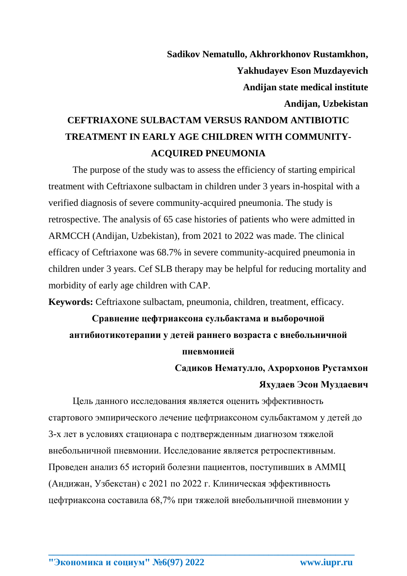**Sadikov Nematullo, Akhrorkhonov Rustamkhon, Yakhudayev Eson Muzdayevich Andijan state medical institute Andijan, Uzbekistan**

## **CEFTRIAXONE SULBACTAM VERSUS RANDOM ANTIBIOTIC TREATMENT IN EARLY AGE CHILDREN WITH COMMUNITY-ACQUIRED PNEUMONIA**

The purpose of the study was to assess the efficiency of starting empirical treatment with Ceftriaxone sulbactam in children under 3 years in-hospital with a verified diagnosis of severe community-acquired pneumonia. The study is retrospective. The analysis of 65 case histories of patients who were admitted in ARMCCH (Andijan, Uzbekistan), from 2021 to 2022 was made. The clinical efficacy of Ceftriaxone was 68.7% in severe community-acquired pneumonia in children under 3 years. Cef SLB therapy may be helpful for reducing mortality and morbidity of early age children with CAP.

**Keywords:** Ceftriaxone sulbactam, pneumonia, children, treatment, efficacy.

## **Сравнение цефтриаксона сульбактама и выборочной антибиотикотерапии у детей раннего возраста с внебольничной пневмонией**

**Садиков Нематулло, Ахрорхонов Рустамхон Яхудаев Эсон Муздаевич**

Цель данного исследования является оценить эффективность стартового эмпирического лечение цефтриаксоном сульбактамом у детей до 3-х лет в условиях стационара с подтвержденным диагнозом тяжелой внебольничной пневмонии. Исследование является ретроспективным. Проведен анализ 65 историй болезни пациентов, поступивших в АММЦ (Андижан, Узбекстан) с 2021 по 2022 г. Клиническая эффективность цефтриаксона составила 68,7% при тяжелой внебольничной пневмонии у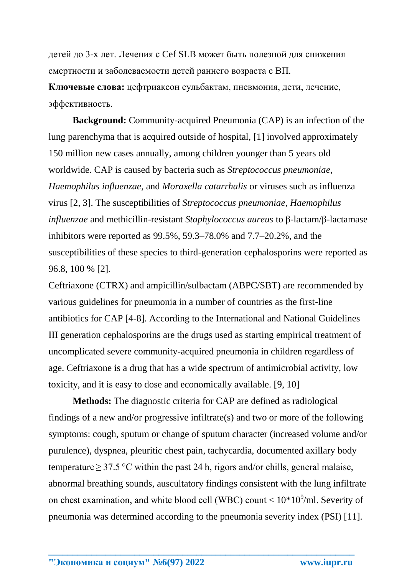детей до 3-х лет. Лечения с Cef SLB может быть полезной для снижения смертности и заболеваемости детей раннего возраста с ВП.

**Ключевые слова:** цефтриаксон сульбактам, пневмония, дети, лечение, эффективность.

**Background:** Community-acquired Pneumonia (CAP) is an infection of the lung parenchyma that is acquired outside of hospital, [1] involved approximately 150 million new cases annually, among children younger than 5 years old worldwide. CAP is caused by bacteria such as *Streptococcus pneumoniae*, *Haemophilus influenzae*, and *Moraxella catarrhalis* or viruses such as influenza virus [2, 3]. The susceptibilities of *Streptococcus pneumoniae*, *Haemophilus influenzae* and methicillin-resistant *Staphylococcus aureus* to β-lactam/β-lactamase inhibitors were reported as 99.5%, 59.3–78.0% and 7.7–20.2%, and the susceptibilities of these species to third-generation cephalosporins were reported as 96.8, 100 % [2].

Ceftriaxone (CTRX) and ampicillin/sulbactam (ABPC/SBT) are recommended by various guidelines for pneumonia in a number of countries as the first-line antibiotics for CAP [4-8]. According to the International and National Guidelines III generation cephalosporins are the drugs used as starting empirical treatment of uncomplicated severe community-acquired pneumonia in children regardless of age. Ceftriaxone is a drug that has a wide spectrum of antimicrobial activity, low toxicity, and it is easy to dose and economically available. [9, 10]

**Methods:** The diagnostic criteria for CAP are defined as radiological findings of a new and/or progressive infiltrate(s) and two or more of the following symptoms: cough, sputum or change of sputum character (increased volume and/or purulence), dyspnea, pleuritic chest pain, tachycardia, documented axillary body temperature $>$ 37.5 °C within the past 24 h, rigors and/or chills, general malaise, abnormal breathing sounds, auscultatory findings consistent with the lung infiltrate on chest examination, and white blood cell (WBC) count  $\leq 10^{\circ}/\text{ml}$ . Severity of pneumonia was determined according to the pneumonia severity index (PSI) [11].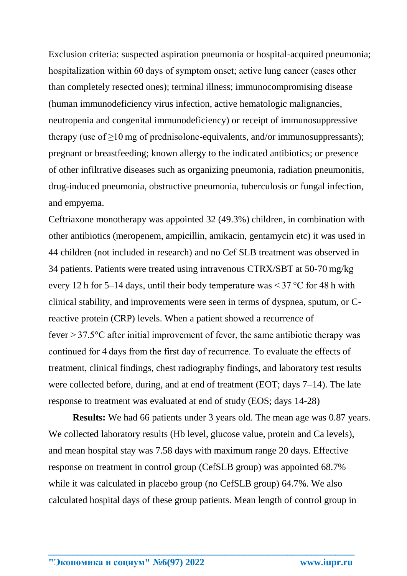Exclusion criteria: suspected aspiration pneumonia or hospital-acquired pneumonia; hospitalization within 60 days of symptom onset; active lung cancer (cases other than completely resected ones); terminal illness; immunocompromising disease (human immunodeficiency virus infection, active hematologic malignancies, neutropenia and congenital immunodeficiency) or receipt of immunosuppressive therapy (use of  $\geq 10$  mg of prednisolone-equivalents, and/or immunosuppressants); pregnant or breastfeeding; known allergy to the indicated antibiotics; or presence of other infiltrative diseases such as organizing pneumonia, radiation pneumonitis, drug-induced pneumonia, obstructive pneumonia, tuberculosis or fungal infection, and empyema.

Ceftriaxone monotherapy was appointed 32 (49.3%) children, in combination with other antibiotics (meropenem, ampicillin, amikacin, gentamycin etc) it was used in 44 children (not included in research) and no Cef SLB treatment was observed in 34 patients. Patients were treated using intravenous CTRX/SBT at 50-70 mg/kg every 12 h for 5–14 days, until their body temperature was  $\leq$  37 °C for 48 h with clinical stability, and improvements were seen in terms of dyspnea, sputum, or Creactive protein (CRP) levels. When a patient showed a recurrence of fever  $>$  37.5 $\degree$ C after initial improvement of fever, the same antibiotic therapy was continued for 4 days from the first day of recurrence. To evaluate the effects of treatment, clinical findings, chest radiography findings, and laboratory test results were collected before, during, and at end of treatment (EOT; days 7–14). The late response to treatment was evaluated at end of study (EOS; days 14-28)

**Results:** We had 66 patients under 3 years old. The mean age was 0.87 years. We collected laboratory results (Hb level, glucose value, protein and Ca levels), and mean hospital stay was 7.58 days with maximum range 20 days. Effective response on treatment in control group (CefSLB group) was appointed 68.7% while it was calculated in placebo group (no CefSLB group) 64.7%. We also calculated hospital days of these group patients. Mean length of control group in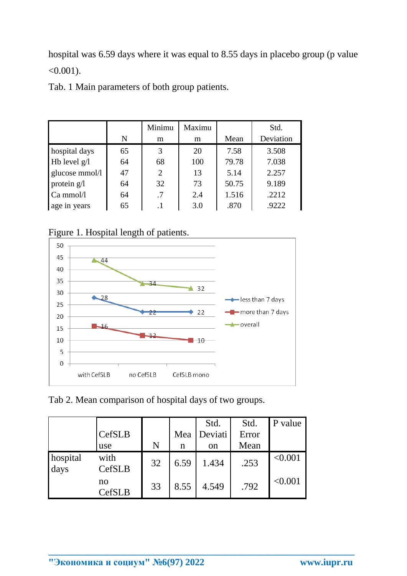hospital was 6.59 days where it was equal to 8.55 days in placebo group (p value  $< 0.001$ ).

Tab. 1 Main parameters of both group patients.

|                |    | Minimu | Maximu |       | Std.      |
|----------------|----|--------|--------|-------|-----------|
|                | N  | m      | m      | Mean  | Deviation |
| hospital days  | 65 | 3      | 20     | 7.58  | 3.508     |
| Hb level $g/l$ | 64 | 68     | 100    | 79.78 | 7.038     |
| glucose mmol/l | 47 | 2      | 13     | 5.14  | 2.257     |
| protein $g/l$  | 64 | 32     | 73     | 50.75 | 9.189     |
| $Ca \, mmol/l$ | 64 | .7     | 2.4    | 1.516 | .2212     |
| age in years   | 65 |        | 3.0    | .870  | .9222     |

Figure 1. Hospital length of patients.



Tab 2. Mean comparison of hospital days of two groups.

|                  | CefSLB<br>use       | N  | Mea<br>n | Std.<br>Deviati<br>on | Std.<br>Error<br>Mean | P value |
|------------------|---------------------|----|----------|-----------------------|-----------------------|---------|
| hospital<br>days | with<br>CefSLB      | 32 | 6.59     | 1.434                 | .253                  | < 0.001 |
|                  | no<br><b>CefSLB</b> | 33 | 8.55     | 4.549                 | .792                  | < 0.001 |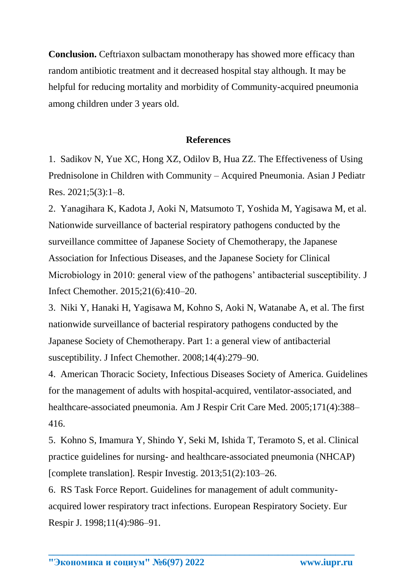**Conclusion.** Ceftriaxon sulbactam monotherapy has showed more efficacy than random antibiotic treatment and it decreased hospital stay although. It may be helpful for reducing mortality and morbidity of Community-acquired pneumonia among children under 3 years old.

## **References**

1. Sadikov N, Yue XC, Hong XZ, Odilov B, Hua ZZ. The Effectiveness of Using Prednisolone in Children with Community – Acquired Pneumonia. Asian J Pediatr Res. 2021;5(3):1–8.

2. Yanagihara K, Kadota J, Aoki N, Matsumoto T, Yoshida M, Yagisawa M, et al. Nationwide surveillance of bacterial respiratory pathogens conducted by the surveillance committee of Japanese Society of Chemotherapy, the Japanese Association for Infectious Diseases, and the Japanese Society for Clinical Microbiology in 2010: general view of the pathogens' antibacterial susceptibility. J Infect Chemother. 2015;21(6):410–20.

3. Niki Y, Hanaki H, Yagisawa M, Kohno S, Aoki N, Watanabe A, et al. The first nationwide surveillance of bacterial respiratory pathogens conducted by the Japanese Society of Chemotherapy. Part 1: a general view of antibacterial susceptibility. J Infect Chemother. 2008;14(4):279–90.

4. American Thoracic Society, Infectious Diseases Society of America. Guidelines for the management of adults with hospital-acquired, ventilator-associated, and healthcare-associated pneumonia. Am J Respir Crit Care Med. 2005;171(4):388– 416.

5. Kohno S, Imamura Y, Shindo Y, Seki M, Ishida T, Teramoto S, et al. Clinical practice guidelines for nursing- and healthcare-associated pneumonia (NHCAP) [complete translation]. Respir Investig. 2013;51(2):103–26.

6. RS Task Force Report. Guidelines for management of adult communityacquired lower respiratory tract infections. European Respiratory Society. Eur Respir J. 1998;11(4):986–91.